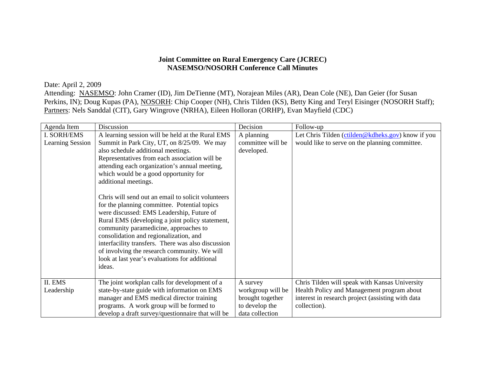## **Joint Committee on Rural Emergency Care (JCREC) NASEMSO/NOSORH Conference Call Minutes**

Date: April 2, 2009 Attending: NASEMSO: John Cramer (ID), Jim DeTienne (MT), Norajean Miles (AR), Dean Cole (NE), Dan Geier (for Susan Perkins, IN); Doug Kupas (PA), NOSORH: Chip Cooper (NH), Chris Tilden (KS), Betty King and Teryl Eisinger (NOSORH Staff); Partners: Nels Sanddal (CIT), Gary Wingrove (NRHA), Eileen Holloran (ORHP), Evan Mayfield (CDC)

| Agenda Item                            | Discussion                                                                                                                                                                                                                                                                                                                                                                                                                                                                                                                                                                                                                                                                                                                                                          | Decision                                                                               | Follow-up                                                                                                                                                         |
|----------------------------------------|---------------------------------------------------------------------------------------------------------------------------------------------------------------------------------------------------------------------------------------------------------------------------------------------------------------------------------------------------------------------------------------------------------------------------------------------------------------------------------------------------------------------------------------------------------------------------------------------------------------------------------------------------------------------------------------------------------------------------------------------------------------------|----------------------------------------------------------------------------------------|-------------------------------------------------------------------------------------------------------------------------------------------------------------------|
| I. SORH/EMS<br><b>Learning Session</b> | A learning session will be held at the Rural EMS<br>Summit in Park City, UT, on 8/25/09. We may<br>also schedule additional meetings.<br>Representatives from each association will be<br>attending each organization's annual meeting,<br>which would be a good opportunity for<br>additional meetings.<br>Chris will send out an email to solicit volunteers<br>for the planning committee. Potential topics<br>were discussed: EMS Leadership, Future of<br>Rural EMS (developing a joint policy statement,<br>community paramedicine, approaches to<br>consolidation and regionalization, and<br>interfacility transfers. There was also discussion<br>of involving the research community. We will<br>look at last year's evaluations for additional<br>ideas. | A planning<br>committee will be<br>developed.                                          | Let Chris Tilden (ctilden@kdheks.gov) know if you<br>would like to serve on the planning committee.                                                               |
| II. EMS<br>Leadership                  | The joint workplan calls for development of a<br>state-by-state guide with information on EMS<br>manager and EMS medical director training<br>programs. A work group will be formed to<br>develop a draft survey/questionnaire that will be                                                                                                                                                                                                                                                                                                                                                                                                                                                                                                                         | A survey<br>workgroup will be<br>brought together<br>to develop the<br>data collection | Chris Tilden will speak with Kansas University<br>Health Policy and Management program about<br>interest in research project (assisting with data<br>collection). |